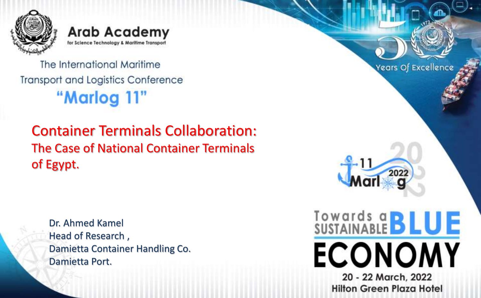

**Arab Academy** for Science Technology & Maritime Transport

The International Maritime **Transport and Logistics Conference** "Marlog 11"

## Container Terminals Collaboration: The Case of National Container Terminals of Egypt.

Dr. Ahmed Kamel Head of Research , Damietta Container Handling Co. Damietta Port.

Years Of Excellence  $202$ **Towards a BLUE ECONOMY** 20 - 22 March, 2022 **Hilton Green Plaza Hotel**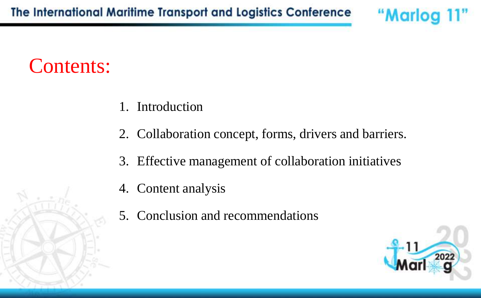## Contents:

- 1. Introduction
- 2. Collaboration concept, forms, drivers and barriers.
- 3. Effective management of collaboration initiatives
- 4. Content analysis
- 5. Conclusion and recommendations

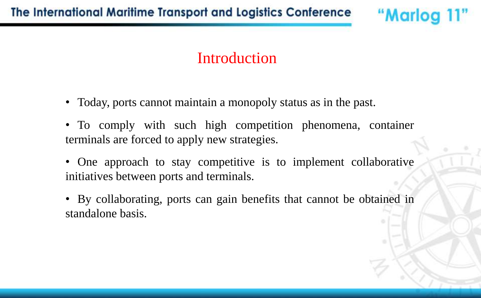#### Introduction

- Today, ports cannot maintain a monopoly status as in the past.
- To comply with such high competition phenomena, container terminals are forced to apply new strategies.
- One approach to stay competitive is to implement collaborative initiatives between ports and terminals.
- By collaborating, ports can gain benefits that cannot be obtained in standalone basis.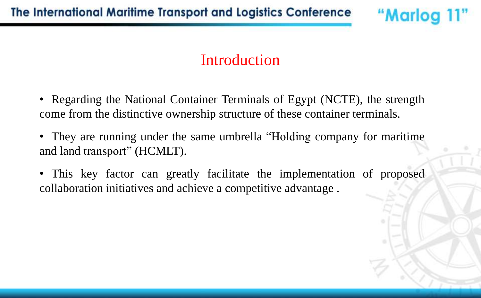#### Introduction

"Marlog 11"

• Regarding the National Container Terminals of Egypt (NCTE), the strength come from the distinctive ownership structure of these container terminals.

- They are running under the same umbrella "Holding company for maritime and land transport" (HCMLT).
- This key factor can greatly facilitate the implementation of proposed collaboration initiatives and achieve a competitive advantage .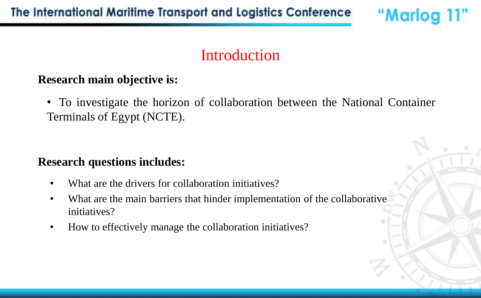#### **Introduction**

"Marlog 11"

#### **Research main objective is:**

• To investigate the horizon of collaboration between the National Container Terminals of Egypt (NCTE).

#### **Research questions includes:**

- What are the drivers for collaboration initiatives?
- What are the main barriers that hinder implementation of the collaborative initiatives?
- How to effectively manage the collaboration initiatives?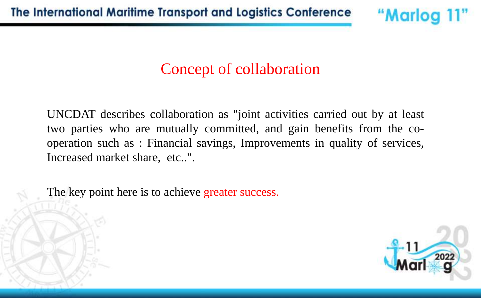## Concept of collaboration

UNCDAT describes collaboration as "joint activities carried out by at least two parties who are mutually committed, and gain benefits from the cooperation such as : Financial savings, Improvements in quality of services, Increased market share, etc..".

The key point here is to achieve greater success.



"Marlog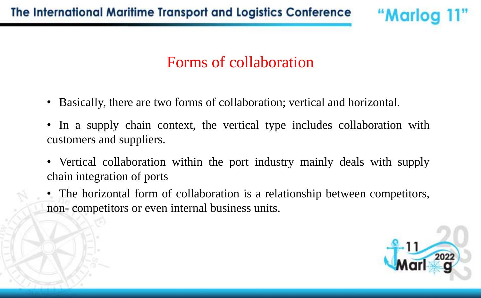## Forms of collaboration

- Basically, there are two forms of collaboration; vertical and horizontal.
- In a supply chain context, the vertical type includes collaboration with customers and suppliers.
- Vertical collaboration within the port industry mainly deals with supply chain integration of ports
- The horizontal form of collaboration is a relationship between competitors, non- competitors or even internal business units.

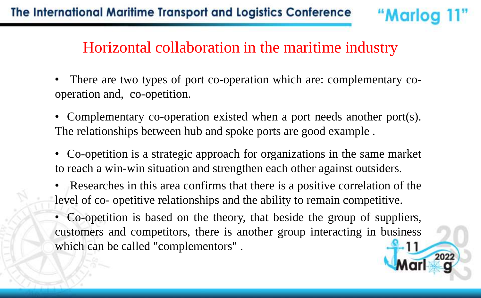#### Horizontal collaboration in the maritime industry

"Marloc

- There are two types of port co-operation which are: complementary cooperation and, co-opetition.
- Complementary co-operation existed when a port needs another port(s). The relationships between hub and spoke ports are good example .
- Co-opetition is a strategic approach for organizations in the same market to reach a win-win situation and strengthen each other against outsiders.
- Researches in this area confirms that there is a positive correlation of the level of co- opetitive relationships and the ability to remain competitive.
- Co-opetition is based on the theory, that beside the group of suppliers, customers and competitors, there is another group interacting in business which can be called "complementors".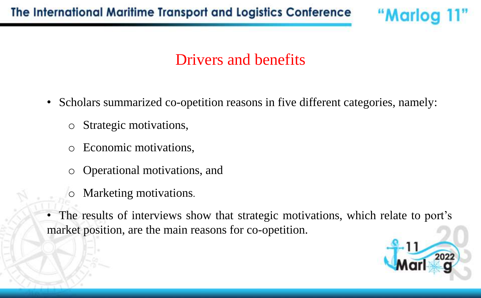#### Drivers and benefits

- Scholars summarized co-opetition reasons in five different categories, namely:
	- o Strategic motivations,
	- o Economic motivations,
	- o Operational motivations, and
	- o Marketing motivations.
- The results of interviews show that strategic motivations, which relate to port's market position, are the main reasons for co-opetition.



"Marlog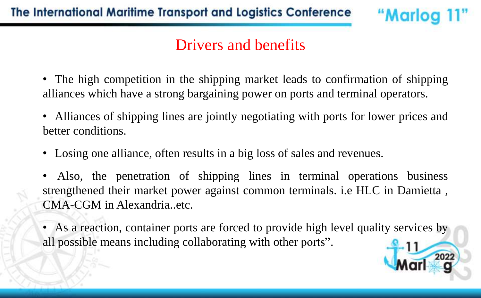#### Drivers and benefits

- The high competition in the shipping market leads to confirmation of shipping alliances which have a strong bargaining power on ports and terminal operators.
- Alliances of shipping lines are jointly negotiating with ports for lower prices and better conditions.
- Losing one alliance, often results in a big loss of sales and revenues.
- Also, the penetration of shipping lines in terminal operations business strengthened their market power against common terminals. i.e HLC in Damietta , CMA-CGM in Alexandria..etc.
- As a reaction, container ports are forced to provide high level quality services by all possible means including collaborating with other ports".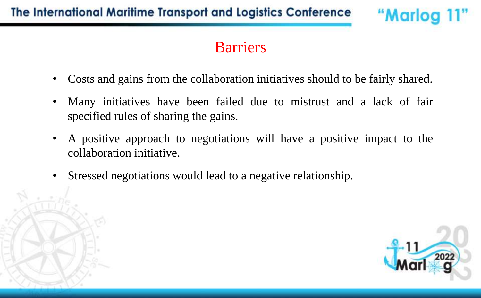#### Barriers

- Costs and gains from the collaboration initiatives should to be fairly shared.
- Many initiatives have been failed due to mistrust and a lack of fair specified rules of sharing the gains.
- A positive approach to negotiations will have a positive impact to the collaboration initiative.
- Stressed negotiations would lead to a negative relationship.

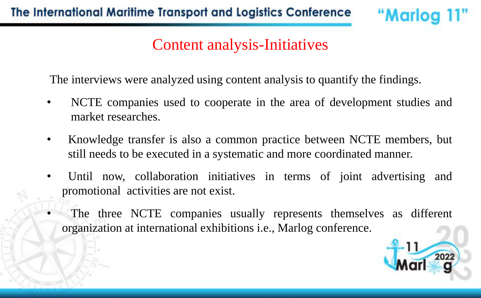#### Content analysis-Initiatives

"Marlog 11"

The interviews were analyzed using content analysis to quantify the findings.

- NCTE companies used to cooperate in the area of development studies and market researches.
- Knowledge transfer is also a common practice between NCTE members, but still needs to be executed in a systematic and more coordinated manner.
- Until now, collaboration initiatives in terms of joint advertising and promotional activities are not exist.
	- The three NCTE companies usually represents themselves as different organization at international exhibitions i.e., Marlog conference.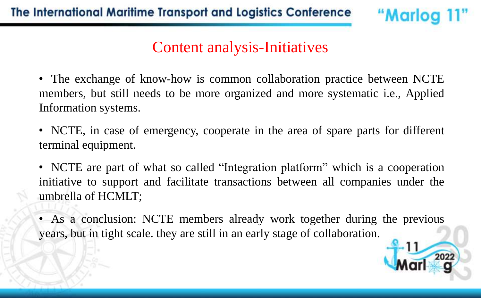#### Content analysis-Initiatives

"Marlog 11"

• The exchange of know-how is common collaboration practice between NCTE members, but still needs to be more organized and more systematic i.e., Applied Information systems.

• NCTE, in case of emergency, cooperate in the area of spare parts for different terminal equipment.

• NCTE are part of what so called "Integration platform" which is a cooperation initiative to support and facilitate transactions between all companies under the umbrella of HCMLT;

• As a conclusion: NCTE members already work together during the previous years, but in tight scale. they are still in an early stage of collaboration.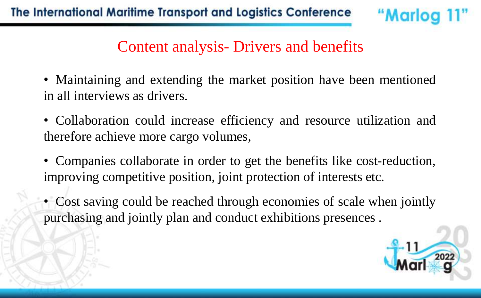#### Content analysis- Drivers and benefits

- Maintaining and extending the market position have been mentioned in all interviews as drivers.
- Collaboration could increase efficiency and resource utilization and therefore achieve more cargo volumes,
- Companies collaborate in order to get the benefits like cost-reduction, improving competitive position, joint protection of interests etc.
- Cost saving could be reached through economies of scale when jointly purchasing and jointly plan and conduct exhibitions presences .



"Marlog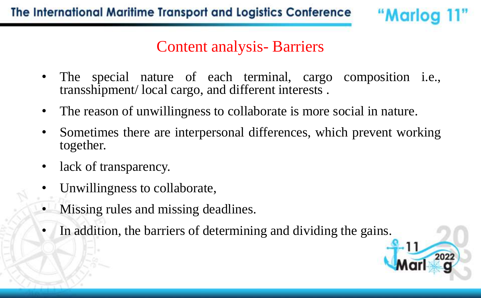Content analysis- Barriers

- The special nature of each terminal, cargo composition i.e., transshipment/ local cargo, and different interests .
- The reason of unwillingness to collaborate is more social in nature.
- Sometimes there are interpersonal differences, which prevent working together.
- lack of transparency.
- Unwillingness to collaborate,
- Missing rules and missing deadlines.
- In addition, the barriers of determining and dividing the gains.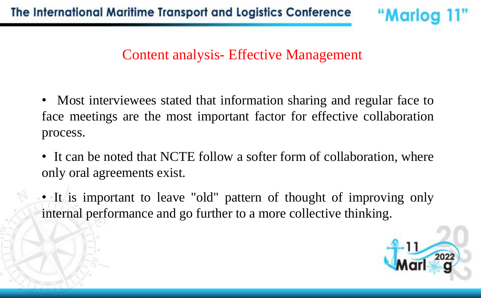#### Content analysis- Effective Management

- Most interviewees stated that information sharing and regular face to face meetings are the most important factor for effective collaboration process.
- It can be noted that NCTE follow a softer form of collaboration, where only oral agreements exist.
- It is important to leave "old" pattern of thought of improving only internal performance and go further to a more collective thinking.



"Marlog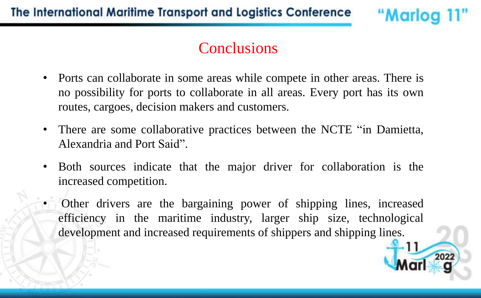#### **Conclusions**

- Ports can collaborate in some areas while compete in other areas. There is no possibility for ports to collaborate in all areas. Every port has its own routes, cargoes, decision makers and customers.
- There are some collaborative practices between the NCTE "in Damietta, Alexandria and Port Said".
- Both sources indicate that the major driver for collaboration is the increased competition.
- Other drivers are the bargaining power of shipping lines, increased efficiency in the maritime industry, larger ship size, technological development and increased requirements of shippers and shipping lines.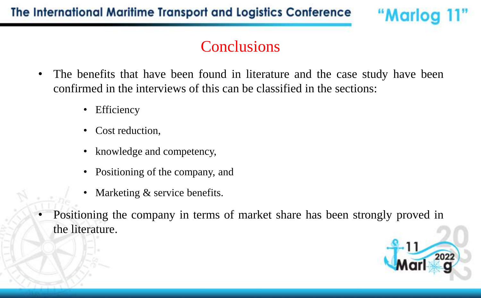## **Conclusions**

- The benefits that have been found in literature and the case study have been confirmed in the interviews of this can be classified in the sections:
	- Efficiency
	- Cost reduction,
	- knowledge and competency,
	- Positioning of the company, and
	- Marketing & service benefits.
- Positioning the company in terms of market share has been strongly proved in the literature.

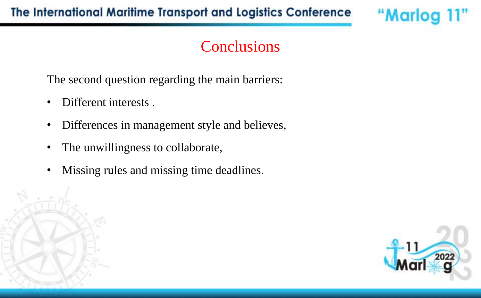#### **Conclusions**

The second question regarding the main barriers:

- Different interests.
- Differences in management style and believes,
- The unwillingness to collaborate,
- Missing rules and missing time deadlines.



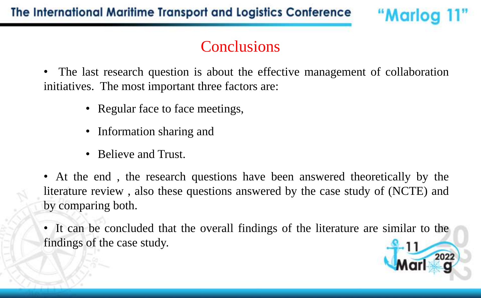### **Conclusions**

"Marlog 11"

The last research question is about the effective management of collaboration initiatives. The most important three factors are:

- Regular face to face meetings,
- Information sharing and
- Believe and Trust.

• At the end , the research questions have been answered theoretically by the literature review , also these questions answered by the case study of (NCTE) and by comparing both.

• It can be concluded that the overall findings of the literature are similar to the findings of the case study.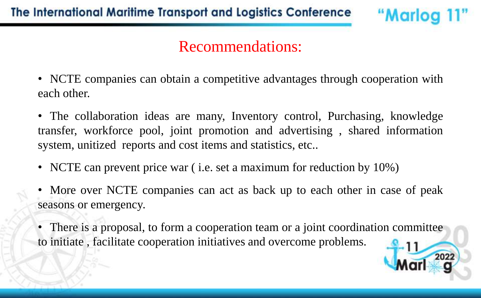#### Recommendations:

- NCTE companies can obtain a competitive advantages through cooperation with each other.
- The collaboration ideas are many, Inventory control, Purchasing, knowledge transfer, workforce pool, joint promotion and advertising , shared information system, unitized reports and cost items and statistics, etc..
- NCTE can prevent price war ( i.e. set a maximum for reduction by 10%)
- More over NCTE companies can act as back up to each other in case of peak seasons or emergency.
- There is a proposal, to form a cooperation team or a joint coordination committee to initiate , facilitate cooperation initiatives and overcome problems.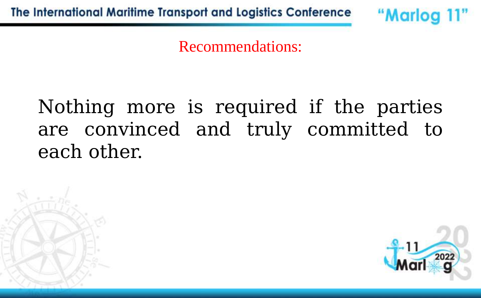"Marlog 11"

Recommendations:

# Nothing more is required if the parties are convinced and truly committed to each other.